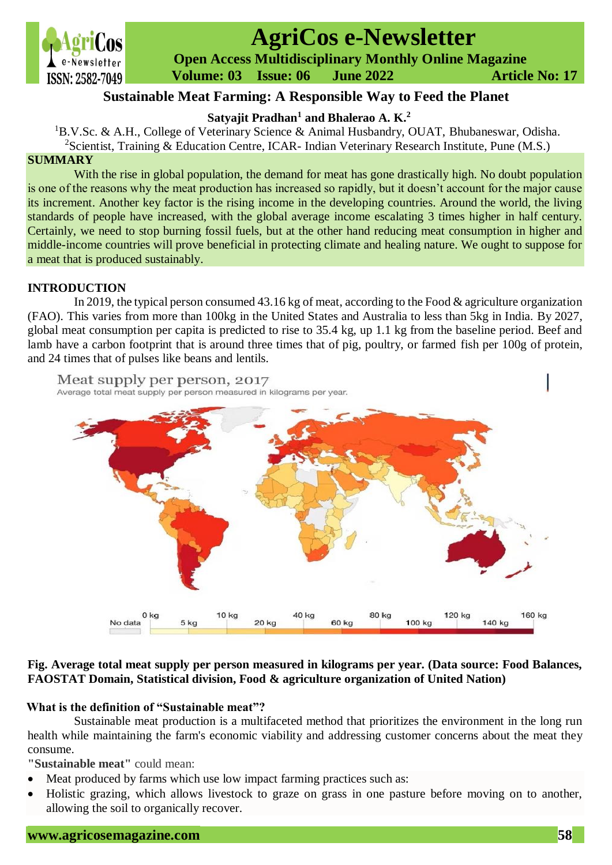

# **AgriCos e-Newsletter**

 **Open Access Multidisciplinary Monthly Online Magazine**

 **ISSN:** 2582-7049 **Volume:** 03 **Issue:** 06 **June** 2022 **Article No:** 17

# **Sustainable Meat Farming: A Responsible Way to Feed the Planet**

**Satyajit Pradhan<sup>1</sup> and Bhalerao A. K.<sup>2</sup>**

<sup>1</sup>B.V.Sc. & A.H., College of Veterinary Science & Animal Husbandry, OUAT, Bhubaneswar, Odisha. <sup>2</sup>Scientist, Training & Education Centre, ICAR- Indian Veterinary Research Institute, Pune (M.S.)

# **SUMMARY**

With the rise in global population, the demand for meat has gone drastically high. No doubt population is one of the reasons why the meat production has increased so rapidly, but it doesn't account for the major cause its increment. Another key factor is the rising income in the developing countries. Around the world, the living standards of people have increased, with the global average income escalating 3 times higher in half century. Certainly, we need to stop burning fossil fuels, but at the other hand reducing meat consumption in higher and middle-income countries will prove beneficial in protecting climate and healing nature. We ought to suppose for a meat that is produced sustainably.

### **INTRODUCTION**

[In 2019, the typical person consumed 43.16 kg of meat, according to the Food & agriculture organization](https://ourworldindata.org/meat-production#which-countries-eat-the-most-meat)  [\(FAO\).](https://ourworldindata.org/meat-production#which-countries-eat-the-most-meat) This varies from more than 100kg in the United States and Australia to less than 5kg in India. By 2027, global meat consumption per capita is predicted to rise to 35.4 kg, up 1.1 kg from the baseline period. Beef and lamb have a carbon footprint that is around three times that of pig, poultry, or farmed fish per 100g of protein, and 24 times that of pulses like beans and lentils.



# **Fig. Average total meat supply per person measured in kilograms per year. (Data source: Food Balances, FAOSTAT Domain, Statistical division, Food & agriculture organization of United Nation)**

# **What is the definition of "Sustainable meat"?**

Sustainable meat production is a multifaceted method that prioritizes the environment in the long run health while maintaining the farm's economic viability and addressing customer concerns about the meat they consume.

**"Sustainable meat"** could mean:

- Meat produced by farms which use low impact farming practices such as:
- [Holistic grazing,](https://sustainablefoodtrust.org/articles/holistic-grazing-at-croome-court/) which allows livestock to graze on grass in one pasture before moving on to another, allowing the soil to organically recover.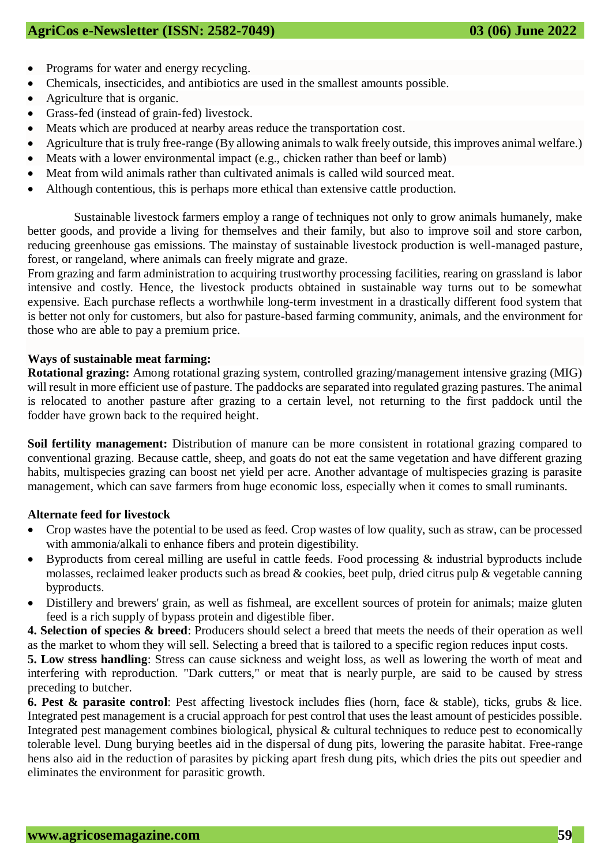- Programs for water and energy recycling.
- Chemicals, insecticides, and antibiotics are used in the smallest amounts possible.
- Agriculture that is organic.
- Grass-fed (instead of grain-fed) livestock.
- Meats which are produced at nearby areas reduce the transportation cost.
- Agriculture that is truly free-range (By allowing animals to walk freely outside, this improves animal welfare.)
- Meats with a lower environmental impact (e.g., chicken rather than beef or lamb)
- Meat from wild animals rather than cultivated animals is called wild sourced meat.
- Although contentious, this is perhaps more ethical than extensive cattle production.

Sustainable livestock farmers employ a range of techniques not only to grow animals humanely, make better goods, and provide a living for themselves and their family, but also to improve soil and store carbon, reducing greenhouse gas emissions. The mainstay of sustainable livestock production is well-managed pasture, forest, or rangeland, where animals can freely migrate and graze.

From grazing and farm administration to acquiring trustworthy processing facilities, rearing on grassland is labor intensive and costly. Hence, the livestock products obtained in sustainable way turns out to be somewhat expensive. Each purchase reflects a worthwhile long-term investment in a drastically different food system that is better not only for customers, but also for pasture-based farming community, animals, and the environment for those who are able to pay a premium price.

#### **Ways of sustainable meat farming:**

**Rotational grazing:** Among rotational grazing system, controlled grazing/management intensive grazing (MIG) will result in more efficient use of pasture. The paddocks are separated into regulated grazing pastures. The animal is relocated to another pasture after grazing to a certain level, not returning to the first paddock until the fodder have grown back to the required height.

**Soil fertility management:** Distribution of manure can be more consistent in rotational grazing compared to conventional grazing. Because cattle, sheep, and goats do not eat the same vegetation and have different grazing habits, multispecies grazing can boost net yield per acre. Another advantage of multispecies grazing is parasite management, which can save farmers from huge economic loss, especially when it comes to small ruminants.

#### **Alternate feed for livestock**

- Crop wastes have the potential to be used as feed. Crop wastes of low quality, such as straw, can be processed with ammonia/alkali to enhance fibers and protein digestibility.
- Byproducts from cereal milling are useful in cattle feeds. Food processing & industrial byproducts include molasses, reclaimed leaker products such as bread & cookies, beet pulp, dried citrus pulp & vegetable canning byproducts.
- Distillery and brewers' grain, as well as fishmeal, are excellent sources of protein for animals; maize gluten feed is a rich supply of bypass protein and digestible fiber.
- **4. Selection of species & breed**: Producers should select a breed that meets the needs of their operation as well as the market to whom they will sell. Selecting a breed that is tailored to a specific region reduces input costs.

**5. Low stress handling**: Stress can cause sickness and weight loss, as well as lowering the worth of meat and interfering with reproduction. "Dark cutters," or meat that is nearly purple, are said to be caused by stress preceding to butcher.

**6. Pest & parasite control**: Pest affecting livestock includes flies (horn, face & stable), ticks, grubs & lice. Integrated pest management is a crucial approach for pest control that uses the least amount of pesticides possible. Integrated pest management combines biological, physical & cultural techniques to reduce pest to economically tolerable level. Dung burying beetles aid in the dispersal of dung pits, lowering the parasite habitat. Free-range hens also aid in the reduction of parasites by picking apart fresh dung pits, which dries the pits out speedier and eliminates the environment for parasitic growth.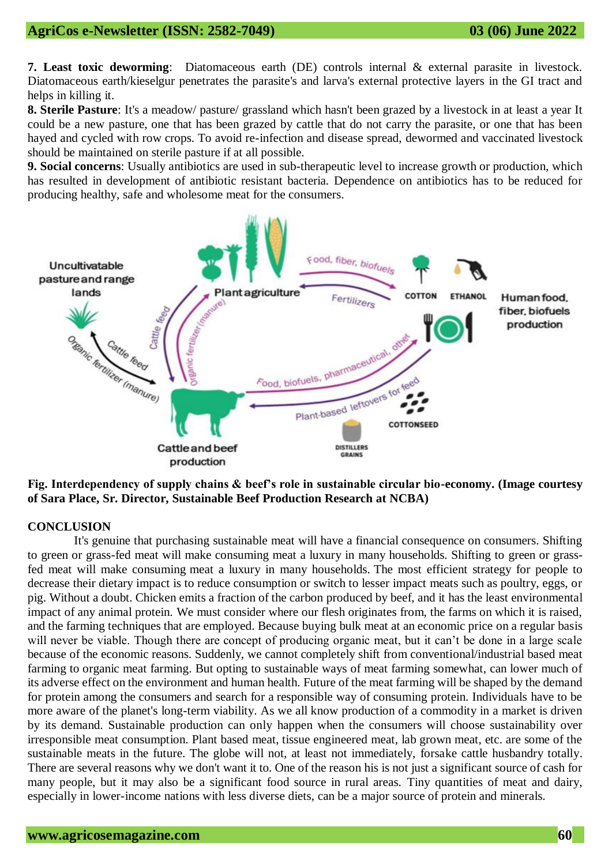**7. Least toxic deworming**: Diatomaceous earth (DE) controls internal & external parasite in livestock. Diatomaceous earth/kieselgur penetrates the parasite's and larva's external protective layers in the GI tract and helps in killing it.

**8. Sterile Pasture**: It's a meadow/ pasture/ grassland which hasn't been grazed by a livestock in at least a year It could be a new pasture, one that has been grazed by cattle that do not carry the parasite, or one that has been hayed and cycled with row crops. To avoid re-infection and disease spread, dewormed and vaccinated livestock should be maintained on sterile pasture if at all possible.

**9. Social concerns**: Usually antibiotics are used in sub-therapeutic level to increase growth or production, which has resulted in development of antibiotic resistant bacteria. Dependence on antibiotics has to be reduced for producing healthy, safe and wholesome meat for the consumers.



**Fig. Interdependency of supply chains & beef's role in sustainable circular bio-economy. (Image courtesy of Sara Place, Sr. Director, Sustainable Beef Production Research at NCBA)**

#### **CONCLUSION**

It's genuine that purchasing sustainable meat will have a financial consequence on consumers. Shifting to green or grass-fed meat will make consuming meat a luxury in many households. Shifting to green or grassfed meat will make consuming meat a luxury in many households. The most efficient strategy for people to decrease their dietary impact is to reduce consumption or switch to lesser impact meats such as poultry, eggs, or pig. Without a doubt. Chicken emits a fraction of the carbon produced by beef, and it has the least environmental impact of any animal protein. We must consider where our flesh originates from, the farms on which it is raised, and the farming techniques that are employed. Because buying bulk meat at an economic price on a regular basis will never be viable. Though there are concept of producing organic meat, but it can't be done in a large scale because of the economic reasons. Suddenly, we cannot completely shift from conventional/industrial based meat farming to organic meat farming. But opting to sustainable ways of meat farming somewhat, can lower much of its adverse effect on the environment and human health. Future of the meat farming will be shaped by the demand for protein among the consumers and search for a responsible way of consuming protein. Individuals have to be more aware of the planet's long-term viability. As we all know production of a commodity in a market is driven by its demand. Sustainable production can only happen when the consumers will choose sustainability over irresponsible meat consumption. Plant based meat, tissue engineered meat, lab grown meat, etc. are some of the sustainable meats in the future. The globe will not, at least not immediately, forsake cattle husbandry totally. There are several reasons why we don't want it to. One of the reason his is not just a significant source of cash for many people, but it may also be a significant food source in rural areas. Tiny quantities of meat and dairy, especially in lower-income nations with less diverse diets, can be a major source of protein and minerals.